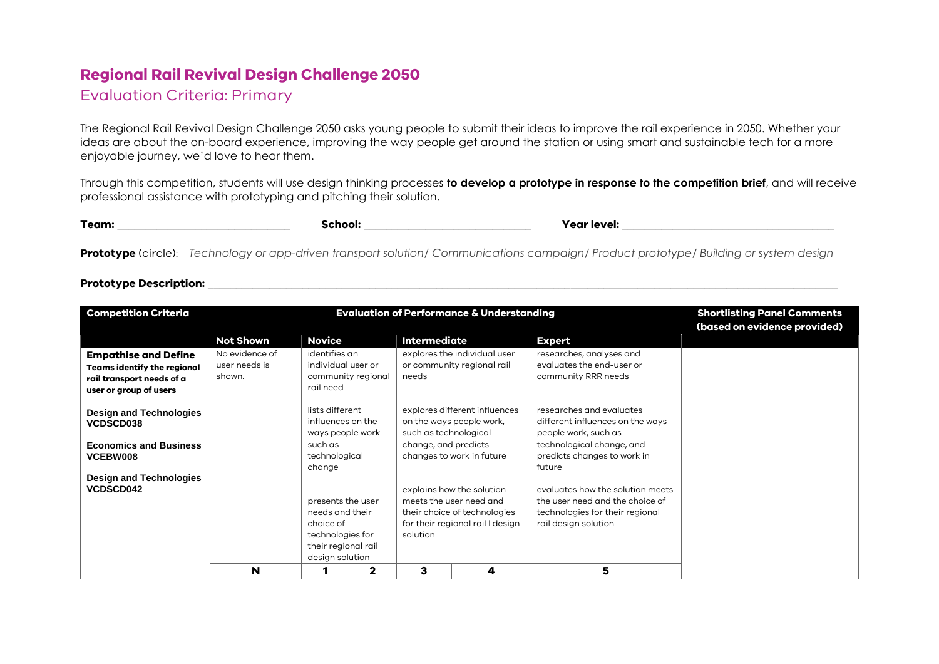## **Regional Rail Revival Design Challenge 2050**

## Evaluation Criteria: Primary

The Regional Rail Revival Design Challenge 2050 asks young people to submit their ideas to improve the rail experience in 2050. Whether your ideas are about the on-board experience, improving the way people get around the station or using smart and sustainable tech for a more enjoyable journey, we'd love to hear them.

Through this competition, students will use design thinking processes **to develop a prototype in response to the competition brief**, and will receive professional assistance with prototyping and pitching their solution.

| Team: | chool:<br>ж | Year level: |
|-------|-------------|-------------|
|       |             |             |

**Prototype** (circle): *Technology or app-driven transport solution/ Communications campaign/ Product prototype/ Building or system design*

## **Prototype Description: \_\_\_\_\_\_\_\_\_\_\_\_\_\_\_\_\_\_\_\_\_\_\_\_\_\_\_\_\_\_\_\_\_\_\_\_\_\_\_\_\_\_\_\_\_\_\_\_\_\_\_\_\_\_\_\_\_\_\_\_\_\_\_\_\_\_\_\_\_\_\_\_\_\_\_\_\_\_\_\_\_\_\_\_\_\_\_\_\_\_\_\_\_\_\_\_\_\_\_\_\_\_\_\_\_\_\_\_\_\_\_\_\_**

| <b>Competition Criteria</b>                                                                                              |                                           |                                                                                                                 |             | <b>Evaluation of Performance &amp; Understanding</b> | <b>Shortlisting Panel Comments</b>                                                                                       |                                                                                                                                |                              |
|--------------------------------------------------------------------------------------------------------------------------|-------------------------------------------|-----------------------------------------------------------------------------------------------------------------|-------------|------------------------------------------------------|--------------------------------------------------------------------------------------------------------------------------|--------------------------------------------------------------------------------------------------------------------------------|------------------------------|
|                                                                                                                          | <b>Not Shown</b>                          | <b>Novice</b>                                                                                                   |             | <b>Intermediate</b>                                  |                                                                                                                          |                                                                                                                                | (based on evidence provided) |
| <b>Empathise and Define</b><br><b>Teams identify the regional</b><br>rail transport needs of a<br>user or group of users | No evidence of<br>user needs is<br>shown. | identifies an<br>individual user or<br>community regional<br>rail need                                          |             | needs                                                | explores the individual user<br>or community regional rail                                                               | <b>Expert</b><br>researches, analyses and<br>evaluates the end-user or<br>community RRR needs                                  |                              |
| <b>Design and Technologies</b><br>VCDSCD038                                                                              |                                           | lists different<br>influences on the<br>ways people work                                                        |             | such as technological                                | explores different influences<br>on the ways people work,                                                                | researches and evaluates<br>different influences on the ways<br>people work, such as                                           |                              |
| <b>Economics and Business</b><br>VCEBW008                                                                                |                                           | such as<br>technological<br>change                                                                              |             | change, and predicts                                 | changes to work in future                                                                                                | technological change, and<br>predicts changes to work in<br>future                                                             |                              |
| <b>Design and Technologies</b><br><b>VCDSCD042</b>                                                                       |                                           | presents the user<br>needs and their<br>choice of<br>technologies for<br>their regional rail<br>design solution |             | solution                                             | explains how the solution<br>meets the user need and<br>their choice of technologies<br>for their regional rail I design | evaluates how the solution meets<br>the user need and the choice of<br>technologies for their regional<br>rail design solution |                              |
|                                                                                                                          | N                                         |                                                                                                                 | $\mathbf 2$ | з                                                    | 4                                                                                                                        | 5                                                                                                                              |                              |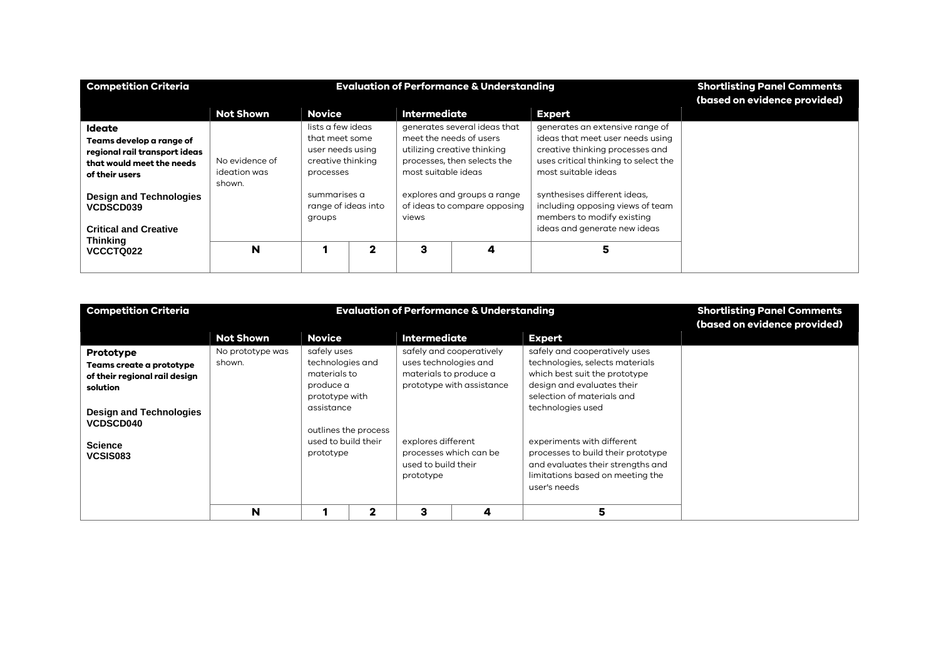| <b>Competition Criteria</b>                                                                                               |                                          | <b>Shortlisting Panel Comments</b><br>(based on evidence provided)                        |             |                                                |                                                                                            |                                                                                                                                                                       |  |
|---------------------------------------------------------------------------------------------------------------------------|------------------------------------------|-------------------------------------------------------------------------------------------|-------------|------------------------------------------------|--------------------------------------------------------------------------------------------|-----------------------------------------------------------------------------------------------------------------------------------------------------------------------|--|
|                                                                                                                           | <b>Not Shown</b>                         | <b>Novice</b>                                                                             |             | <b>Intermediate</b>                            |                                                                                            | <b>Expert</b>                                                                                                                                                         |  |
| <b>Ideate</b><br>Teams develop a range of<br>regional rail transport ideas<br>that would meet the needs<br>of their users | No evidence of<br>ideation was<br>shown. | lists a few ideas<br>that meet some<br>user needs using<br>creative thinking<br>processes |             | meet the needs of users<br>most suitable ideas | generates several ideas that<br>utilizing creative thinking<br>processes, then selects the | generates an extensive range of<br>ideas that meet user needs using<br>creative thinking processes and<br>uses critical thinking to select the<br>most suitable ideas |  |
| <b>Design and Technologies</b><br>VCDSCD039<br><b>Critical and Creative</b>                                               |                                          | summarises a<br>range of ideas into<br>groups                                             |             | views                                          | explores and groups a range<br>of ideas to compare opposing                                | synthesises different ideas,<br>including opposing views of team<br>members to modify existing<br>ideas and generate new ideas                                        |  |
| <b>Thinking</b><br>VCCCTQ022                                                                                              | N                                        |                                                                                           | $\mathbf 2$ | з                                              | 4                                                                                          | 5                                                                                                                                                                     |  |

| <b>Competition Criteria</b>                                                                                                                                            |                            | <b>Evaluation of Performance &amp; Understanding</b>                                                                             | <b>Shortlisting Panel Comments</b><br>(based on evidence provided) |                                                                                                                                     |                                                       |                                                                                                                                                                                                                                                                                                                                                 |  |
|------------------------------------------------------------------------------------------------------------------------------------------------------------------------|----------------------------|----------------------------------------------------------------------------------------------------------------------------------|--------------------------------------------------------------------|-------------------------------------------------------------------------------------------------------------------------------------|-------------------------------------------------------|-------------------------------------------------------------------------------------------------------------------------------------------------------------------------------------------------------------------------------------------------------------------------------------------------------------------------------------------------|--|
|                                                                                                                                                                        | <b>Not Shown</b>           | <b>Novice</b>                                                                                                                    |                                                                    | <b>Intermediate</b>                                                                                                                 |                                                       | <b>Expert</b>                                                                                                                                                                                                                                                                                                                                   |  |
| Prototype<br>Teams create a prototype<br>of their regional rail design<br>solution<br><b>Design and Technologies</b><br><b>VCDSCD040</b><br><b>Science</b><br>VCSIS083 | No prototype was<br>shown. | safely uses<br>technologies and<br>materials to<br>produce a<br>prototype with<br>assistance<br>used to build their<br>prototype | outlines the process                                               | uses technologies and<br>materials to produce a<br>explores different<br>processes which can be<br>used to build their<br>prototype | safely and cooperatively<br>prototype with assistance | safely and cooperatively uses<br>technologies, selects materials<br>which best suit the prototype<br>design and evaluates their<br>selection of materials and<br>technologies used<br>experiments with different<br>processes to build their prototype<br>and evaluates their strengths and<br>limitations based on meeting the<br>user's needs |  |
|                                                                                                                                                                        | N                          |                                                                                                                                  | $\mathbf 2$                                                        | з                                                                                                                                   | 4                                                     | 5                                                                                                                                                                                                                                                                                                                                               |  |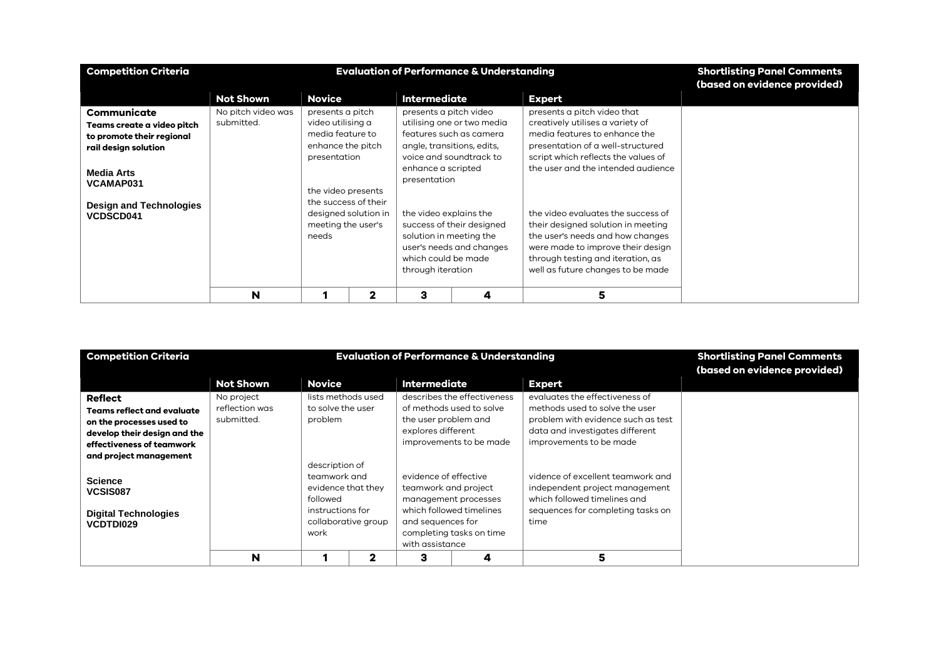| <b>Competition Criteria</b>                        |                    | <b>Shortlisting Panel Comments</b><br>(based on evidence provided) |                                              |                                                                                                 |                            |                                     |  |
|----------------------------------------------------|--------------------|--------------------------------------------------------------------|----------------------------------------------|-------------------------------------------------------------------------------------------------|----------------------------|-------------------------------------|--|
|                                                    | <b>Not Shown</b>   | <b>Novice</b>                                                      |                                              | <b>Intermediate</b>                                                                             |                            | <b>Expert</b>                       |  |
| Communicate                                        | No pitch video was | presents a pitch                                                   |                                              | presents a pitch video                                                                          |                            | presents a pitch video that         |  |
| Teams create a video pitch                         | submitted.         | video utilising a                                                  |                                              |                                                                                                 | utilising one or two media | creatively utilises a variety of    |  |
| to promote their regional                          |                    | media feature to                                                   |                                              |                                                                                                 | features such as camera    | media features to enhance the       |  |
| rail design solution                               |                    | enhance the pitch                                                  |                                              |                                                                                                 | angle, transitions, edits, | presentation of a well-structured   |  |
|                                                    |                    | presentation                                                       |                                              |                                                                                                 | voice and soundtrack to    | script which reflects the values of |  |
| <b>Media Arts</b><br>VCAMAP031                     |                    |                                                                    |                                              | enhance a scripted<br>presentation                                                              |                            | the user and the intended audience  |  |
|                                                    |                    | the video presents                                                 |                                              |                                                                                                 |                            |                                     |  |
| <b>Design and Technologies</b><br><b>VCDSCD041</b> |                    |                                                                    | the success of their<br>designed solution in | the video explains the                                                                          |                            | the video evaluates the success of  |  |
|                                                    |                    | meeting the user's                                                 |                                              |                                                                                                 | success of their designed  | their designed solution in meeting  |  |
|                                                    |                    | needs                                                              |                                              | solution in meeting the<br>user's needs and changes<br>which could be made<br>through iteration |                            | the user's needs and how changes    |  |
|                                                    |                    |                                                                    |                                              |                                                                                                 |                            | were made to improve their design   |  |
|                                                    |                    |                                                                    |                                              |                                                                                                 |                            | through testing and iteration, as   |  |
|                                                    |                    |                                                                    |                                              |                                                                                                 |                            | well as future changes to be made   |  |
|                                                    | N                  |                                                                    | 2                                            | 3                                                                                               | 4                          | 5                                   |  |

| <b>Competition Criteria</b>                                                                                                                                     |                                            | <b>Evaluation of Performance &amp; Understanding</b>                                         | <b>Shortlisting Panel Comments</b><br>(based on evidence provided) |                                                                                       |                                                                                    |                                                                                                                                                                      |  |
|-----------------------------------------------------------------------------------------------------------------------------------------------------------------|--------------------------------------------|----------------------------------------------------------------------------------------------|--------------------------------------------------------------------|---------------------------------------------------------------------------------------|------------------------------------------------------------------------------------|----------------------------------------------------------------------------------------------------------------------------------------------------------------------|--|
|                                                                                                                                                                 | <b>Not Shown</b>                           | <b>Novice</b>                                                                                |                                                                    | <b>Intermediate</b>                                                                   |                                                                                    | <b>Expert</b>                                                                                                                                                        |  |
| <b>Reflect</b><br>Teams reflect and evaluate<br>on the processes used to<br>develop their design and the<br>effectiveness of teamwork<br>and project management | No project<br>reflection was<br>submitted. | lists methods used<br>to solve the user<br>problem                                           |                                                                    | the user problem and<br>explores different                                            | describes the effectiveness<br>of methods used to solve<br>improvements to be made | evaluates the effectiveness of<br>methods used to solve the user<br>problem with evidence such as test<br>data and investigates different<br>improvements to be made |  |
| <b>Science</b><br>VCSIS087<br><b>Digital Technologies</b><br><b>VCDTDI029</b>                                                                                   |                                            | description of<br>teamwork and<br>evidence that they<br>followed<br>instructions for<br>work | collaborative group                                                | evidence of effective<br>teamwork and project<br>and sequences for<br>with assistance | management processes<br>which followed timelines<br>completing tasks on time       | vidence of excellent teamwork and<br>independent project management<br>which followed timelines and<br>sequences for completing tasks on<br>time                     |  |
|                                                                                                                                                                 | N                                          |                                                                                              | 2                                                                  | з                                                                                     | 4                                                                                  | 5                                                                                                                                                                    |  |